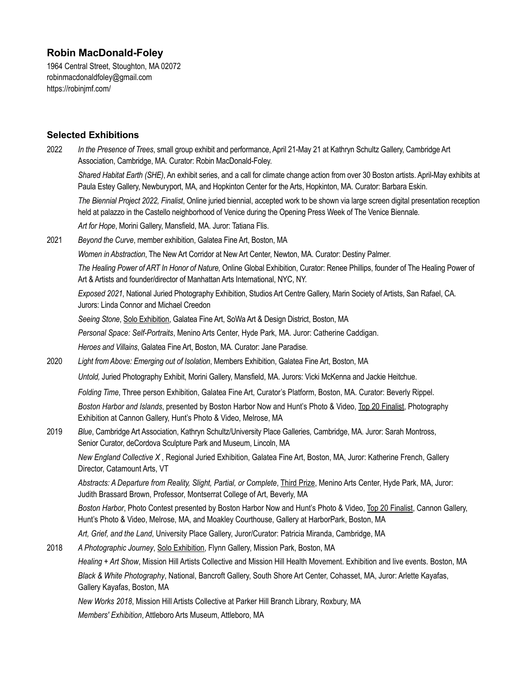# **Robin MacDonald-Foley**

1964 Central Street, Stoughton, MA 02072 [robinmacdonaldfoley@gmail.com](mailto:robinmacdonaldfoley@gmail.com) <https://robinjmf.com/>

# **Selected Exhibitions**

2022 *In the Presence of Trees*, small group exhibit and performance, April 21-May 21 at Kathryn Schultz Gallery, Cambridge Art Association, Cambridge, MA. Curator: Robin MacDonald-Foley. *Shared Habitat Earth (SHE)*, An exhibit series, and a call for climate change action from over 30 Boston artists. April-May exhibits at Paula Estey Gallery, Newburyport, MA, and Hopkinton Center for the Arts, Hopkinton, MA. Curator: Barbara Eskin. *The Biennial Project 2022, Finalist*, Online juried biennial, accepted work to be shown via large screen digital presentation reception held at palazzo in the Castello neighborhood of Venice during the Opening Press Week of The Venice Biennale*. Art for Hope*, Morini Gallery, Mansfield, MA. Juror: Tatiana Flis. 2021 *Beyond the Curve*, member exhibition, Galatea Fine Art, Boston, MA *Women in Abstraction*, The New Art Corridor at New Art Center, Newton, MA. Curator: Destiny Palmer. *The Healing Power of ART In Honor of Nature,* Online Global Exhibition, Curator: Renee Phillips, founder of The Healing Power of Art & Artists and founder/director of Manhattan Arts International, NYC, NY. *Exposed 2021*, National Juried Photography Exhibition, Studios Art Centre Gallery, Marin Society of Artists, San Rafael, CA. Jurors: Linda Connor and Michael Creedon *Seeing Stone*, Solo Exhibition, Galatea Fine Art, SoWa Art & Design District, Boston, MA *Personal Space: Self-Portraits*, Menino Arts Center, Hyde Park, MA. Juror: Catherine Caddigan. *Heroes and Villains*, Galatea Fine Art, Boston, MA. Curator: Jane Paradise. 2020 *Light from Above: Emerging out of Isolation*, Members Exhibition, Galatea Fine Art, Boston, MA *Untold,* Juried Photography Exhibit, Morini Gallery, Mansfield, MA. Jurors: Vicki McKenna and Jackie Heitchue. *Folding Time*, Three person Exhibition, Galatea Fine Art, Curator's Platform, Boston, MA. Curator: Beverly Rippel. *Boston Harbor and Islands*, presented by Boston Harbor Now and Hunt's Photo & Video, Top 20 Finalist, Photography Exhibition at Cannon Gallery, Hunt's Photo & Video, Melrose, MA 2019 *Blue*, Cambridge Art Association, Kathryn Schultz/University Place Galleries*,* Cambridge, MA. Juror: Sarah Montross, Senior Curator, deCordova Sculpture Park and Museum, Lincoln, MA *New England Collective X* , Regional Juried Exhibition, Galatea Fine Art, Boston, MA, Juror: Katherine French, Gallery Director, Catamount Arts, VT *Abstracts: A Departure from Reality, Slight, Partial, or Complete*, Third Prize, Menino Arts Center, Hyde Park, MA, Juror: Judith Brassard Brown, Professor, Montserrat College of Art, Beverly, MA *Boston Harbor*, Photo Contest presented by Boston Harbor Now and Hunt's Photo & Video, Top 20 Finalist, Cannon Gallery, Hunt's Photo & Video, Melrose, MA, and Moakley Courthouse, Gallery at HarborPark, Boston, MA *Art, Grief, and the Land*, University Place Gallery, Juror/Curator: Patricia Miranda, Cambridge, MA 2018 *A Photographic Journey*, Solo Exhibition, Flynn Gallery, Mission Park, Boston, MA *Healing + Art Show*, Mission Hill Artists Collective and Mission Hill Health Movement. Exhibition and live events. Boston, MA *Black & White Photography*, National, Bancroft Gallery, South Shore Art Center, Cohasset, MA, Juror: Arlette Kayafas, Gallery Kayafas, Boston, MA *New Works 2018*, Mission Hill Artists Collective at Parker Hill Branch Library, Roxbury, MA *Members' Exhibition*, Attleboro Arts Museum, Attleboro, MA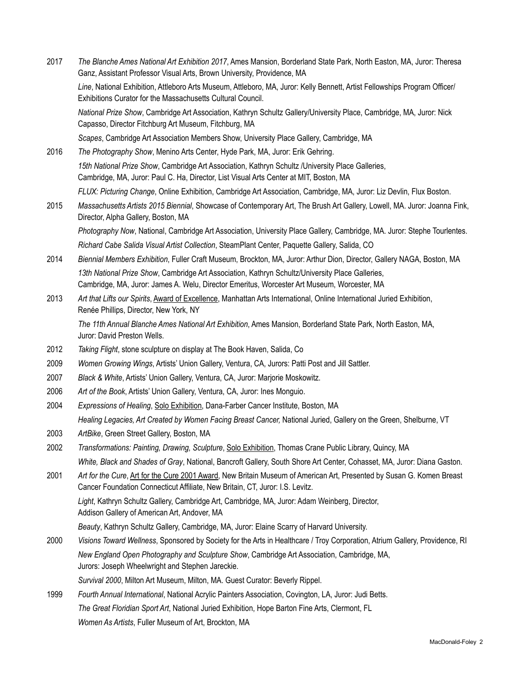2017 *The Blanche Ames National Art Exhibition 2017*, Ames Mansion, Borderland State Park, North Easton, MA, Juror: Theresa Ganz, Assistant Professor Visual Arts, Brown University, Providence, MA

 *Line*, National Exhibition, Attleboro Arts Museum, Attleboro, MA, Juror: Kelly Bennett, Artist Fellowships Program Officer/ Exhibitions Curator for the Massachusetts Cultural Council.

 *National Prize Show*, Cambridge Art Association, Kathryn Schultz Gallery/University Place, Cambridge, MA, Juror: Nick Capasso, Director Fitchburg Art Museum, Fitchburg, MA

*Scapes*, Cambridge Art Association Members Show, University Place Gallery, Cambridge, MA

- 2016 *The Photography Show*, Menino Arts Center, Hyde Park, MA, Juror: Erik Gehring. *15th National Prize Show*, Cambridge Art Association, Kathryn Schultz /University Place Galleries, Cambridge, MA, Juror: Paul C. Ha, Director, List Visual Arts Center at MIT, Boston, MA *FLUX: Picturing Change*, Online Exhibition, Cambridge Art Association, Cambridge, MA, Juror: Liz Devlin, Flux Boston.
- 2015 *Massachusetts Artists 2015 Biennial*, Showcase of Contemporary Art, The Brush Art Gallery, Lowell, MA. Juror: Joanna Fink, Director, Alpha Gallery, Boston, MA

 *Photography Now*, National, Cambridge Art Association, University Place Gallery, Cambridge, MA. Juror: Stephe Tourlentes. *Richard Cabe Salida Visual Artist Collection*, SteamPlant Center, Paquette Gallery, Salida, CO

- 2014 *Biennial Members Exhibition*, Fuller Craft Museum, Brockton, MA, Juror: Arthur Dion, Director, Gallery NAGA, Boston, MA *13th National Prize Show*, Cambridge Art Association, Kathryn Schultz/University Place Galleries, Cambridge, MA, Juror: James A. Welu, Director Emeritus, Worcester Art Museum, Worcester, MA
- 2013 *Art that Lifts our Spirits*, Award of Excellence, Manhattan Arts International, Online International Juried Exhibition, Renée Phillips, Director, New York, NY

 *The 11th Annual Blanche Ames National Art Exhibition*, Ames Mansion, Borderland State Park, North Easton, MA, Juror: David Preston Wells.

- 2012 *Taking Flight*, stone sculpture on display at The Book Haven, Salida, Co
- 2009 *Women Growing Wings*, Artists' Union Gallery, Ventura, CA, Jurors: Patti Post and Jill Sattler.
- 2007 *Black & White*, Artists' Union Gallery, Ventura, CA, Juror: Marjorie Moskowitz.
- 2006 *Art of the Book*, Artists' Union Gallery, Ventura, CA, Juror: Ines Monguio.
- 2004 *Expressions of Healing*, Solo Exhibition, Dana-Farber Cancer Institute, Boston, MA *Healing Legacies, Art Created by Women Facing Breast Cancer,* National Juried, Gallery on the Green, Shelburne, VT
- 2003 *ArtBike*, Green Street Gallery, Boston, MA
- 2002 *Transformations: Painting, Drawing, Sculpture*, Solo Exhibition, Thomas Crane Public Library, Quincy, MA *White, Black and Shades of Gray*, National, Bancroft Gallery, South Shore Art Center, Cohasset, MA, Juror: Diana Gaston.
- 2001 *Art for the Cure*, Art for the Cure 2001 Award, New Britain Museum of American Art, Presented by Susan G. Komen Breast Cancer Foundation Connecticut Affiliate, New Britain, CT, Juror: I.S. Levitz. *Light*, Kathryn Schultz Gallery, Cambridge Art, Cambridge, MA, Juror: Adam Weinberg, Director, Addison Gallery of American Art, Andover, MA

*Beauty*, Kathryn Schultz Gallery, Cambridge, MA, Juror: Elaine Scarry of Harvard University.

- 2000 *Visions Toward Wellness*, Sponsored by Society for the Arts in Healthcare / Troy Corporation, Atrium Gallery, Providence, RI *New England Open Photography and Sculpture Show*, Cambridge Art Association, Cambridge, MA, Jurors: Joseph Wheelwright and Stephen Jareckie. *Survival 2000*, Milton Art Museum, Milton, MA. Guest Curator: Beverly Rippel.
- 1999 *Fourth Annual International*, National Acrylic Painters Association, Covington, LA, Juror: Judi Betts. *The Great Floridian Sport Art*, National Juried Exhibition, Hope Barton Fine Arts, Clermont, FL *Women As Artists*, Fuller Museum of Art, Brockton, MA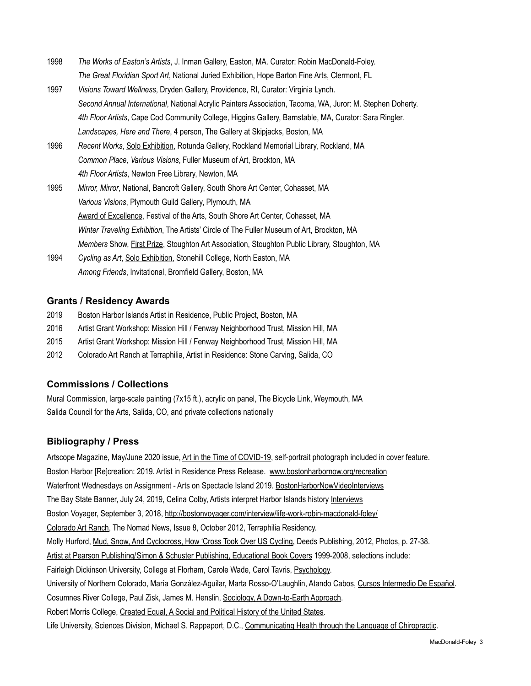- 1998 *The Works of Easton's Artists*, J. Inman Gallery, Easton, MA. Curator: Robin MacDonald-Foley. *The Great Floridian Sport Art*, National Juried Exhibition, Hope Barton Fine Arts, Clermont, FL
- 1997 *Visions Toward Wellness*, Dryden Gallery, Providence, RI, Curator: Virginia Lynch. *Second Annual International*, National Acrylic Painters Association, Tacoma, WA, Juror: M. Stephen Doherty. *4th Floor Artists*, Cape Cod Community College, Higgins Gallery, Barnstable, MA, Curator: Sara Ringler. *Landscapes, Here and There*, 4 person, The Gallery at Skipjacks, Boston, MA
- 1996 *Recent Works*, Solo Exhibition, Rotunda Gallery, Rockland Memorial Library, Rockland, MA *Common Place, Various Visions*, Fuller Museum of Art, Brockton, MA *4th Floor Artists*, Newton Free Library, Newton, MA
- 1995 *Mirror, Mirror*, National, Bancroft Gallery, South Shore Art Center, Cohasset, MA *Various Visions*, Plymouth Guild Gallery, Plymouth, MA Award of Excellence, Festival of the Arts, South Shore Art Center, Cohasset, MA *Winter Traveling Exhibition*, The Artists' Circle of The Fuller Museum of Art, Brockton, MA *Members* Show, First Prize, Stoughton Art Association, Stoughton Public Library, Stoughton, MA
- 1994 *Cycling as Art*, Solo Exhibition, Stonehill College, North Easton, MA *Among Friends*, Invitational, Bromfield Gallery, Boston, MA

# **Grants / Residency Awards**

- 2019 Boston Harbor Islands Artist in Residence, Public Project, Boston, MA
- 2016 Artist Grant Workshop: Mission Hill / Fenway Neighborhood Trust, Mission Hill, MA
- 2015 Artist Grant Workshop: Mission Hill / Fenway Neighborhood Trust, Mission Hill, MA
- 2012 Colorado Art Ranch at Terraphilia, Artist in Residence: Stone Carving, Salida, CO

### **Commissions / Collections**

Mural Commission, large-scale painting (7x15 ft.), acrylic on panel, The Bicycle Link, Weymouth, MA Salida Council for the Arts, Salida, CO, and private collections nationally

### **Bibliography / Press**

Artscope Magazine, May/June 2020 issue, Art in the Time of COVID-19, self-portrait photograph included in cover feature. Boston Harbor [Re]creation: 2019. Artist in Residence Press Release. [www.bostonharbornow.org/recreation](http://www.bostonharbornow.org/recreation?fbclid=IwAR3P0nJcJVP-M5Ml-F7AD35BwAVskdgSBWjtc1kgRi0Me5ygmC3ZlVgAns8) Waterfront Wednesdays on Assignment - Arts on Spectacle Island 2019. [BostonHarborNowVideoInterviews](https://www.facebook.com/bostonharborassociation/videos/681256115708404/) The Bay State Banner, July 24, 2019, Celina Colby, Artists interpret Harbor Islands history [Interviews](https://www.baystatebanner.com/2019/07/24/artists-interpret-harbor-islands-history/?fbclid=IwAR2QGUS7WhTXAW8YSvRjSmB_3H_i6ZBqiwRDnpwZiGDGM-fOSnN1x0UaQcc) Boston Voyager, September 3, 2018,<http://bostonvoyager.com/interview/life-work-robin-macdonald-foley/> Colorado Art Ranch, The Nomad News, Issue 8, October 2012, Terraphilia Residency. Molly Hurford, Mud, Snow, And Cyclocross, How 'Cross Took Over US Cycling, Deeds Publishing, 2012, Photos, p. 27-38. Artist at Pearson Publishing/Simon & Schuster Publishing, Educational Book Covers 1999-2008, selections include: Fairleigh Dickinson University, College at Florham, Carole Wade, Carol Tavris, Psychology. University of Northern Colorado, María González-Aguilar, Marta Rosso-O'Laughlin, Atando Cabos, Cursos Intermedio De Español. Cosumnes River College, Paul Zisk, James M. Henslin, Sociology, A Down-to-Earth Approach. Robert Morris College, Created Equal, A Social and Political History of the United States. Life University, Sciences Division, Michael S. Rappaport, D.C., Communicating Health through the Language of Chiropractic.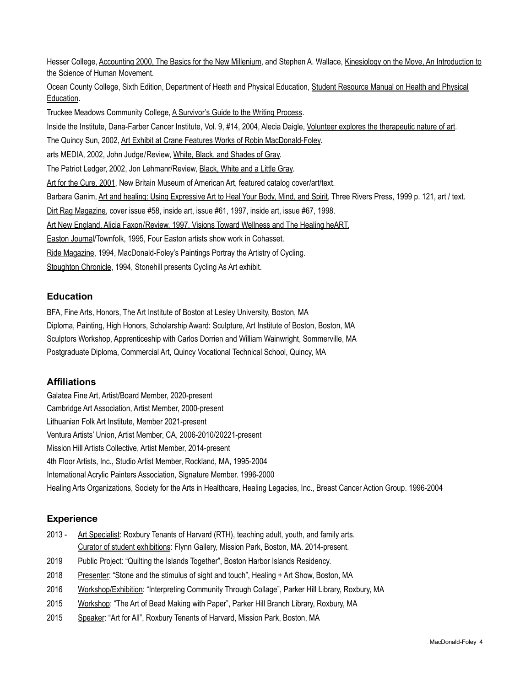Hesser College, Accounting 2000, The Basics for the New Millenium, and Stephen A. Wallace, Kinesiology on the Move, An Introduction to the Science of Human Movement.

Ocean County College, Sixth Edition, Department of Heath and Physical Education, Student Resource Manual on Health and Physical Education.

Truckee Meadows Community College, A Survivor's Guide to the Writing Process.

Inside the Institute, Dana-Farber Cancer Institute, Vol. 9, #14, 2004, Alecia Daigle, Volunteer explores the therapeutic nature of art.

The Quincy Sun, 2002, Art Exhibit at Crane Features Works of Robin MacDonald-Foley.

arts MEDIA, 2002, John Judge/Review, White, Black, and Shades of Gray.

The Patriot Ledger, 2002, Jon Lehmanr/Review, Black, White and a Little Gray.

Art for the Cure, 2001, New Britain Museum of American Art, featured catalog cover/art/text.

Barbara Ganim, Art and healing: Using Expressive Art to Heal Your Body, Mind, and Spirit, Three Rivers Press, 1999 p. 121, art / text.

Dirt Rag Magazine, cover issue #58, inside art, issue #61, 1997, inside art, issue #67, 1998.

Art New England, Alicia Faxon/Review, 1997, Visions Toward Wellness and The Healing heART.

Easton Journal/Townfolk, 1995, Four Easton artists show work in Cohasset.

Ride Magazine, 1994, MacDonald-Foley's Paintings Portray the Artistry of Cycling.

Stoughton Chronicle, 1994, Stonehill presents Cycling As Art exhibit.

### **Education**

BFA, Fine Arts, Honors, The Art Institute of Boston at Lesley University, Boston, MA Diploma, Painting, High Honors, Scholarship Award: Sculpture, Art Institute of Boston, Boston, MA Sculptors Workshop, Apprenticeship with Carlos Dorrien and William Wainwright, Sommerville, MA Postgraduate Diploma, Commercial Art, Quincy Vocational Technical School, Quincy, MA

### **Affiliations**

Galatea Fine Art, Artist/Board Member, 2020-present Cambridge Art Association, Artist Member, 2000-present Lithuanian Folk Art Institute, Member 2021-present Ventura Artists' Union, Artist Member, CA, 2006-2010/20221-present Mission Hill Artists Collective, Artist Member, 2014-present 4th Floor Artists, Inc., Studio Artist Member, Rockland, MA, 1995-2004 International Acrylic Painters Association, Signature Member. 1996-2000 Healing Arts Organizations, Society for the Arts in Healthcare, Healing Legacies, Inc., Breast Cancer Action Group. 1996-2004

### **Experience**

- 2013 Art Specialist: Roxbury Tenants of Harvard (RTH), teaching adult, youth, and family arts. Curator of student exhibitions: Flynn Gallery, Mission Park, Boston, MA. 2014-present.
- 2019 Public Project: "Quilting the Islands Together", Boston Harbor Islands Residency.
- 2018 Presenter: "Stone and the stimulus of sight and touch", Healing + Art Show, Boston, MA
- 2016 Workshop/Exhibition: "Interpreting Community Through Collage", Parker Hill Library, Roxbury, MA
- 2015 Workshop: "The Art of Bead Making with Paper", Parker Hill Branch Library, Roxbury, MA
- 2015 Speaker: "Art for All", Roxbury Tenants of Harvard, Mission Park, Boston, MA